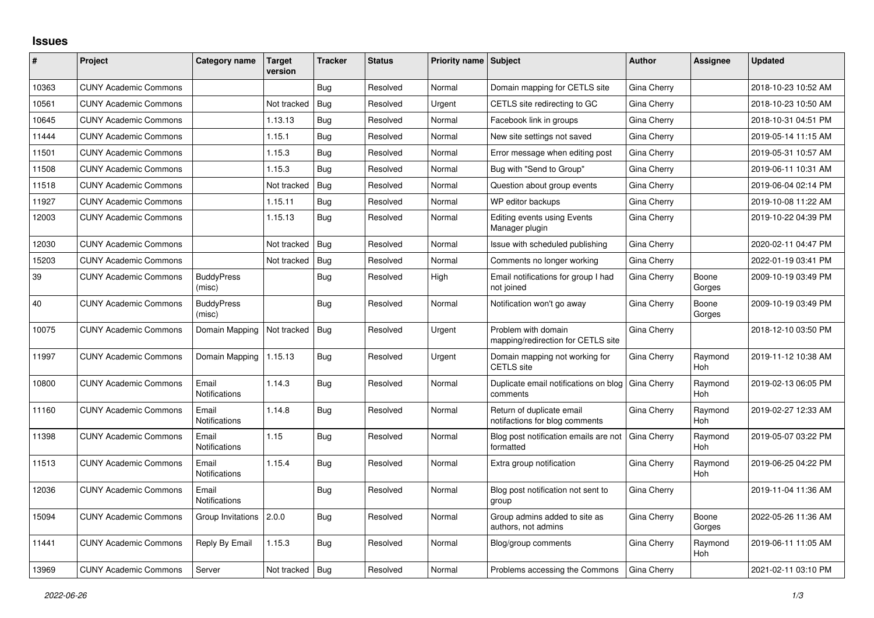## **Issues**

| #     | Project                      | Category name                 | Target<br>version | <b>Tracker</b> | <b>Status</b> | <b>Priority name Subject</b> |                                                             | <b>Author</b> | <b>Assignee</b>       | <b>Updated</b>      |
|-------|------------------------------|-------------------------------|-------------------|----------------|---------------|------------------------------|-------------------------------------------------------------|---------------|-----------------------|---------------------|
| 10363 | <b>CUNY Academic Commons</b> |                               |                   | Bug            | Resolved      | Normal                       | Domain mapping for CETLS site                               | Gina Cherry   |                       | 2018-10-23 10:52 AM |
| 10561 | <b>CUNY Academic Commons</b> |                               | Not tracked       | Bug            | Resolved      | Urgent                       | CETLS site redirecting to GC                                | Gina Cherry   |                       | 2018-10-23 10:50 AM |
| 10645 | <b>CUNY Academic Commons</b> |                               | 1.13.13           | Bug            | Resolved      | Normal                       | Facebook link in groups                                     | Gina Cherry   |                       | 2018-10-31 04:51 PM |
| 11444 | <b>CUNY Academic Commons</b> |                               | 1.15.1            | Bug            | Resolved      | Normal                       | New site settings not saved                                 | Gina Cherry   |                       | 2019-05-14 11:15 AM |
| 11501 | <b>CUNY Academic Commons</b> |                               | 1.15.3            | <b>Bug</b>     | Resolved      | Normal                       | Error message when editing post                             | Gina Cherry   |                       | 2019-05-31 10:57 AM |
| 11508 | <b>CUNY Academic Commons</b> |                               | 1.15.3            | Bug            | Resolved      | Normal                       | Bug with "Send to Group"                                    | Gina Cherry   |                       | 2019-06-11 10:31 AM |
| 11518 | <b>CUNY Academic Commons</b> |                               | Not tracked       | Bug            | Resolved      | Normal                       | Question about group events                                 | Gina Cherry   |                       | 2019-06-04 02:14 PM |
| 11927 | <b>CUNY Academic Commons</b> |                               | 1.15.11           | Bug            | Resolved      | Normal                       | WP editor backups                                           | Gina Cherry   |                       | 2019-10-08 11:22 AM |
| 12003 | <b>CUNY Academic Commons</b> |                               | 1.15.13           | Bug            | Resolved      | Normal                       | <b>Editing events using Events</b><br>Manager plugin        | Gina Cherry   |                       | 2019-10-22 04:39 PM |
| 12030 | <b>CUNY Academic Commons</b> |                               | Not tracked       | Bug            | Resolved      | Normal                       | Issue with scheduled publishing                             | Gina Cherry   |                       | 2020-02-11 04:47 PM |
| 15203 | <b>CUNY Academic Commons</b> |                               | Not tracked       | Bug            | Resolved      | Normal                       | Comments no longer working                                  | Gina Cherry   |                       | 2022-01-19 03:41 PM |
| 39    | <b>CUNY Academic Commons</b> | <b>BuddyPress</b><br>(misc)   |                   | Bug            | Resolved      | High                         | Email notifications for group I had<br>not joined           | Gina Cherry   | Boone<br>Gorges       | 2009-10-19 03:49 PM |
| 40    | <b>CUNY Academic Commons</b> | <b>BuddyPress</b><br>(misc)   |                   | <b>Bug</b>     | Resolved      | Normal                       | Notification won't go away                                  | Gina Cherry   | Boone<br>Gorges       | 2009-10-19 03:49 PM |
| 10075 | <b>CUNY Academic Commons</b> | Domain Mapping                | Not tracked       | Bug            | Resolved      | Urgent                       | Problem with domain<br>mapping/redirection for CETLS site   | Gina Cherry   |                       | 2018-12-10 03:50 PM |
| 11997 | <b>CUNY Academic Commons</b> | Domain Mapping                | 1.15.13           | <b>Bug</b>     | Resolved      | Urgent                       | Domain mapping not working for<br><b>CETLS</b> site         | Gina Cherry   | Raymond<br>Hoh        | 2019-11-12 10:38 AM |
| 10800 | <b>CUNY Academic Commons</b> | Email<br>Notifications        | 1.14.3            | <b>Bug</b>     | Resolved      | Normal                       | Duplicate email notifications on blog<br>comments           | Gina Cherry   | Raymond<br>Hoh        | 2019-02-13 06:05 PM |
| 11160 | <b>CUNY Academic Commons</b> | Email<br><b>Notifications</b> | 1.14.8            | Bug            | Resolved      | Normal                       | Return of duplicate email<br>notifactions for blog comments | Gina Cherry   | Raymond<br><b>Hoh</b> | 2019-02-27 12:33 AM |
| 11398 | <b>CUNY Academic Commons</b> | Email<br>Notifications        | 1.15              | Bug            | Resolved      | Normal                       | Blog post notification emails are not<br>formatted          | Gina Cherry   | Raymond<br><b>Hoh</b> | 2019-05-07 03:22 PM |
| 11513 | <b>CUNY Academic Commons</b> | Email<br><b>Notifications</b> | 1.15.4            | Bug            | Resolved      | Normal                       | Extra group notification                                    | Gina Cherry   | Raymond<br>Hoh        | 2019-06-25 04:22 PM |
| 12036 | <b>CUNY Academic Commons</b> | Email<br><b>Notifications</b> |                   | <b>Bug</b>     | Resolved      | Normal                       | Blog post notification not sent to<br>group                 | Gina Cherry   |                       | 2019-11-04 11:36 AM |
| 15094 | <b>CUNY Academic Commons</b> | Group Invitations             | 2.0.0             | Bug            | Resolved      | Normal                       | Group admins added to site as<br>authors, not admins        | Gina Cherry   | Boone<br>Gorges       | 2022-05-26 11:36 AM |
| 11441 | <b>CUNY Academic Commons</b> | Reply By Email                | 1.15.3            | Bug            | Resolved      | Normal                       | Blog/group comments                                         | Gina Cherry   | Raymond<br>Hoh        | 2019-06-11 11:05 AM |
| 13969 | <b>CUNY Academic Commons</b> | Server                        | Not tracked       | Bug            | Resolved      | Normal                       | Problems accessing the Commons                              | Gina Cherry   |                       | 2021-02-11 03:10 PM |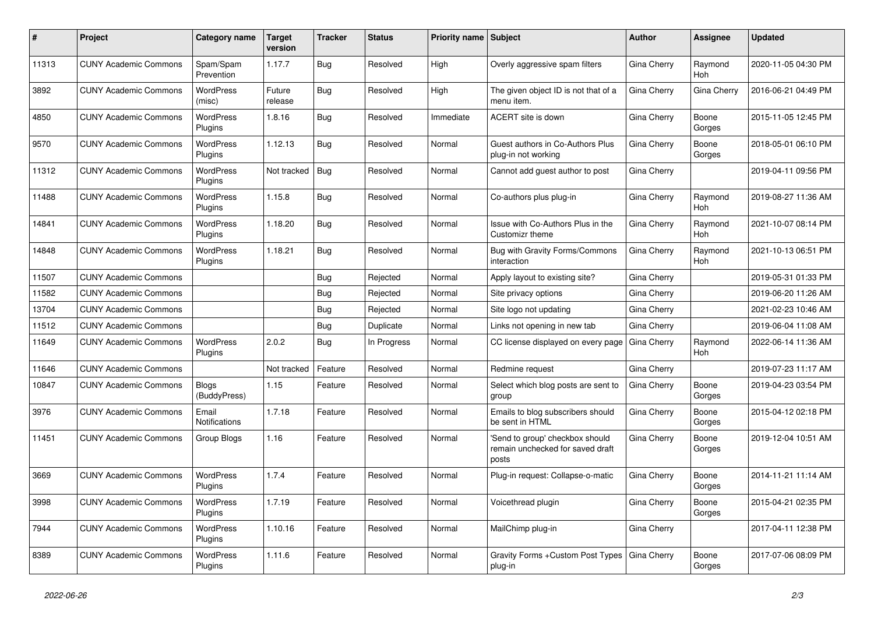| #     | Project                      | <b>Category name</b>          | <b>Target</b><br>version | <b>Tracker</b> | <b>Status</b> | Priority name Subject |                                                                              | Author      | Assignee        | <b>Updated</b>      |
|-------|------------------------------|-------------------------------|--------------------------|----------------|---------------|-----------------------|------------------------------------------------------------------------------|-------------|-----------------|---------------------|
| 11313 | <b>CUNY Academic Commons</b> | Spam/Spam<br>Prevention       | 1.17.7                   | Bug            | Resolved      | High                  | Overly aggressive spam filters                                               | Gina Cherry | Raymond<br>Hoh  | 2020-11-05 04:30 PM |
| 3892  | <b>CUNY Academic Commons</b> | <b>WordPress</b><br>(misc)    | Future<br>release        | Bug            | Resolved      | High                  | The given object ID is not that of a<br>menu item.                           | Gina Cherry | Gina Cherry     | 2016-06-21 04:49 PM |
| 4850  | <b>CUNY Academic Commons</b> | <b>WordPress</b><br>Plugins   | 1.8.16                   | <b>Bug</b>     | Resolved      | Immediate             | ACERT site is down                                                           | Gina Cherry | Boone<br>Gorges | 2015-11-05 12:45 PM |
| 9570  | <b>CUNY Academic Commons</b> | <b>WordPress</b><br>Plugins   | 1.12.13                  | Bug            | Resolved      | Normal                | Guest authors in Co-Authors Plus<br>plug-in not working                      | Gina Cherry | Boone<br>Gorges | 2018-05-01 06:10 PM |
| 11312 | <b>CUNY Academic Commons</b> | WordPress<br>Plugins          | Not tracked              | Bug            | Resolved      | Normal                | Cannot add guest author to post                                              | Gina Cherry |                 | 2019-04-11 09:56 PM |
| 11488 | <b>CUNY Academic Commons</b> | WordPress<br>Plugins          | 1.15.8                   | Bug            | Resolved      | Normal                | Co-authors plus plug-in                                                      | Gina Cherry | Raymond<br>Hoh  | 2019-08-27 11:36 AM |
| 14841 | <b>CUNY Academic Commons</b> | WordPress<br>Plugins          | 1.18.20                  | Bug            | Resolved      | Normal                | Issue with Co-Authors Plus in the<br>Customizr theme                         | Gina Cherry | Raymond<br>Hoh  | 2021-10-07 08:14 PM |
| 14848 | <b>CUNY Academic Commons</b> | <b>WordPress</b><br>Plugins   | 1.18.21                  | Bug            | Resolved      | Normal                | Bug with Gravity Forms/Commons<br>interaction                                | Gina Cherry | Raymond<br>Hoh  | 2021-10-13 06:51 PM |
| 11507 | <b>CUNY Academic Commons</b> |                               |                          | Bug            | Rejected      | Normal                | Apply layout to existing site?                                               | Gina Cherry |                 | 2019-05-31 01:33 PM |
| 11582 | <b>CUNY Academic Commons</b> |                               |                          | Bug            | Rejected      | Normal                | Site privacy options                                                         | Gina Cherry |                 | 2019-06-20 11:26 AM |
| 13704 | <b>CUNY Academic Commons</b> |                               |                          | Bug            | Rejected      | Normal                | Site logo not updating                                                       | Gina Cherry |                 | 2021-02-23 10:46 AM |
| 11512 | <b>CUNY Academic Commons</b> |                               |                          | Bug            | Duplicate     | Normal                | Links not opening in new tab                                                 | Gina Cherry |                 | 2019-06-04 11:08 AM |
| 11649 | <b>CUNY Academic Commons</b> | <b>WordPress</b><br>Plugins   | 2.0.2                    | Bug            | In Progress   | Normal                | CC license displayed on every page                                           | Gina Cherry | Raymond<br>Hoh  | 2022-06-14 11:36 AM |
| 11646 | <b>CUNY Academic Commons</b> |                               | Not tracked              | Feature        | Resolved      | Normal                | Redmine request                                                              | Gina Cherry |                 | 2019-07-23 11:17 AM |
| 10847 | <b>CUNY Academic Commons</b> | <b>Blogs</b><br>(BuddyPress)  | 1.15                     | Feature        | Resolved      | Normal                | Select which blog posts are sent to<br>group                                 | Gina Cherry | Boone<br>Gorges | 2019-04-23 03:54 PM |
| 3976  | <b>CUNY Academic Commons</b> | Email<br><b>Notifications</b> | 1.7.18                   | Feature        | Resolved      | Normal                | Emails to blog subscribers should<br>be sent in HTML                         | Gina Cherry | Boone<br>Gorges | 2015-04-12 02:18 PM |
| 11451 | <b>CUNY Academic Commons</b> | Group Blogs                   | 1.16                     | Feature        | Resolved      | Normal                | 'Send to group' checkbox should<br>remain unchecked for saved draft<br>posts | Gina Cherry | Boone<br>Gorges | 2019-12-04 10:51 AM |
| 3669  | <b>CUNY Academic Commons</b> | <b>WordPress</b><br>Plugins   | 1.7.4                    | Feature        | Resolved      | Normal                | Plug-in request: Collapse-o-matic                                            | Gina Cherry | Boone<br>Gorges | 2014-11-21 11:14 AM |
| 3998  | <b>CUNY Academic Commons</b> | WordPress<br>Plugins          | 1.7.19                   | Feature        | Resolved      | Normal                | Voicethread plugin                                                           | Gina Cherry | Boone<br>Gorges | 2015-04-21 02:35 PM |
| 7944  | <b>CUNY Academic Commons</b> | WordPress<br>Plugins          | 1.10.16                  | Feature        | Resolved      | Normal                | MailChimp plug-in                                                            | Gina Cherry |                 | 2017-04-11 12:38 PM |
| 8389  | <b>CUNY Academic Commons</b> | WordPress<br>Plugins          | 1.11.6                   | Feature        | Resolved      | Normal                | Gravity Forms + Custom Post Types<br>plug-in                                 | Gina Cherry | Boone<br>Gorges | 2017-07-06 08:09 PM |